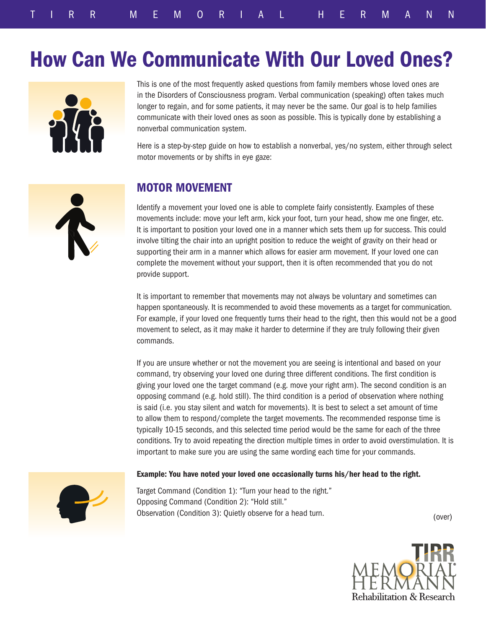# How Can We Communicate With Our Loved Ones?



This is one of the most frequently asked questions from family members whose loved ones are in the Disorders of Consciousness program. Verbal communication (speaking) often takes much longer to regain, and for some patients, it may never be the same. Our goal is to help families communicate with their loved ones as soon as possible. This is typically done by establishing a nonverbal communication system.

Here is a step-by-step guide on how to establish a nonverbal, yes/no system, either through select motor movements or by shifts in eye gaze:



### MOTOR MOVEMENT

Identify a movement your loved one is able to complete fairly consistently. Examples of these movements include: move your left arm, kick your foot, turn your head, show me one finger, etc. It is important to position your loved one in a manner which sets them up for success. This could involve tilting the chair into an upright position to reduce the weight of gravity on their head or supporting their arm in a manner which allows for easier arm movement. If your loved one can complete the movement without your support, then it is often recommended that you do not provide support.

It is important to remember that movements may not always be voluntary and sometimes can happen spontaneously. It is recommended to avoid these movements as a target for communication. For example, if your loved one frequently turns their head to the right, then this would not be a good movement to select, as it may make it harder to determine if they are truly following their given commands.

If you are unsure whether or not the movement you are seeing is intentional and based on your command, try observing your loved one during three different conditions. The first condition is giving your loved one the target command (e.g. move your right arm). The second condition is an opposing command (e.g. hold still). The third condition is a period of observation where nothing is said (i.e. you stay silent and watch for movements). It is best to select a set amount of time to allow them to respond/complete the target movements. The recommended response time is typically 10-15 seconds, and this selected time period would be the same for each of the three conditions. Try to avoid repeating the direction multiple times in order to avoid overstimulation. It is important to make sure you are using the same wording each time for your commands.

### Example: You have noted your loved one occasionally turns his/her head to the right.



Target Command (Condition 1): "Turn your head to the right." Opposing Command (Condition 2): "Hold still." Observation (Condition 3): Quietly observe for a head turn.

(over)

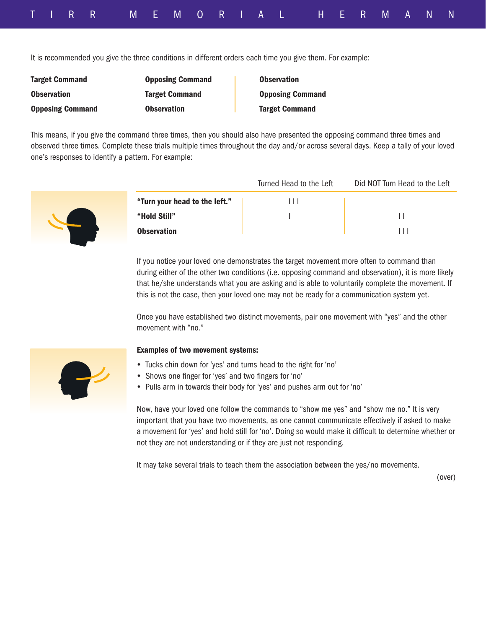|  |  | TIRR MEMORIAL HERMANN' |  |  |  |  |  |  |  |  |
|--|--|------------------------|--|--|--|--|--|--|--|--|

It is recommended you give the three conditions in different orders each time you give them. For example:

| <b>Target Command</b>   | <b>Opposing Command</b> | <b>Observation</b>      |
|-------------------------|-------------------------|-------------------------|
| <b>Observation</b>      | <b>Target Command</b>   | <b>Opposing Command</b> |
| <b>Opposing Command</b> | <b>Observation</b>      | <b>Target Command</b>   |

This means, if you give the command three times, then you should also have presented the opposing command three times and observed three times. Complete these trials multiple times throughout the day and/or across several days. Keep a tally of your loved one's responses to identify a pattern. For example:



|                               | Turned Head to the Left | Did NOT Turn Head to the Left |
|-------------------------------|-------------------------|-------------------------------|
| "Turn your head to the left." | $\perp$                 |                               |
| "Hold Still"                  |                         |                               |
| <b>Observation</b>            |                         | 111                           |

If you notice your loved one demonstrates the target movement more often to command than during either of the other two conditions (i.e. opposing command and observation), it is more likely that he/she understands what you are asking and is able to voluntarily complete the movement. If this is not the case, then your loved one may not be ready for a communication system yet.

Once you have established two distinct movements, pair one movement with "yes" and the other movement with "no."

### Examples of two movement systems:

- Tucks chin down for 'yes' and turns head to the right for 'no'
- Shows one finger for 'yes' and two fingers for 'no'
- Pulls arm in towards their body for 'yes' and pushes arm out for 'no'

Now, have your loved one follow the commands to "show me yes" and "show me no." It is very important that you have two movements, as one cannot communicate effectively if asked to make a movement for 'yes' and hold still for 'no'. Doing so would make it difficult to determine whether or not they are not understanding or if they are just not responding.

It may take several trials to teach them the association between the yes/no movements.

(over)

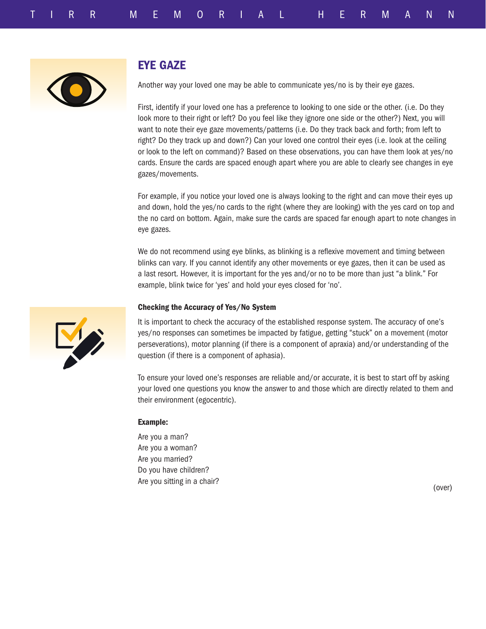

## EYE GAZE

Another way your loved one may be able to communicate yes/no is by their eye gazes.

First, identify if your loved one has a preference to looking to one side or the other. (i.e. Do they look more to their right or left? Do you feel like they ignore one side or the other?) Next, you will want to note their eye gaze movements/patterns (i.e. Do they track back and forth; from left to right? Do they track up and down?) Can your loved one control their eyes (i.e. look at the ceiling or look to the left on command)? Based on these observations, you can have them look at yes/no cards. Ensure the cards are spaced enough apart where you are able to clearly see changes in eye gazes/movements.

For example, if you notice your loved one is always looking to the right and can move their eyes up and down, hold the yes/no cards to the right (where they are looking) with the yes card on top and the no card on bottom. Again, make sure the cards are spaced far enough apart to note changes in eye gazes.

We do not recommend using eye blinks, as blinking is a reflexive movement and timing between blinks can vary. If you cannot identify any other movements or eye gazes, then it can be used as a last resort. However, it is important for the yes and/or no to be more than just "a blink." For example, blink twice for 'yes' and hold your eyes closed for 'no'.

### Checking the Accuracy of Yes/No System

It is important to check the accuracy of the established response system. The accuracy of one's yes/no responses can sometimes be impacted by fatigue, getting "stuck" on a movement (motor perseverations), motor planning (if there is a component of apraxia) and/or understanding of the question (if there is a component of aphasia).

To ensure your loved one's responses are reliable and/or accurate, it is best to start off by asking your loved one questions you know the answer to and those which are directly related to them and their environment (egocentric).

#### Example:

Are you a man? Are you a woman? Are you married? Do you have children? Are you sitting in a chair?

(over)